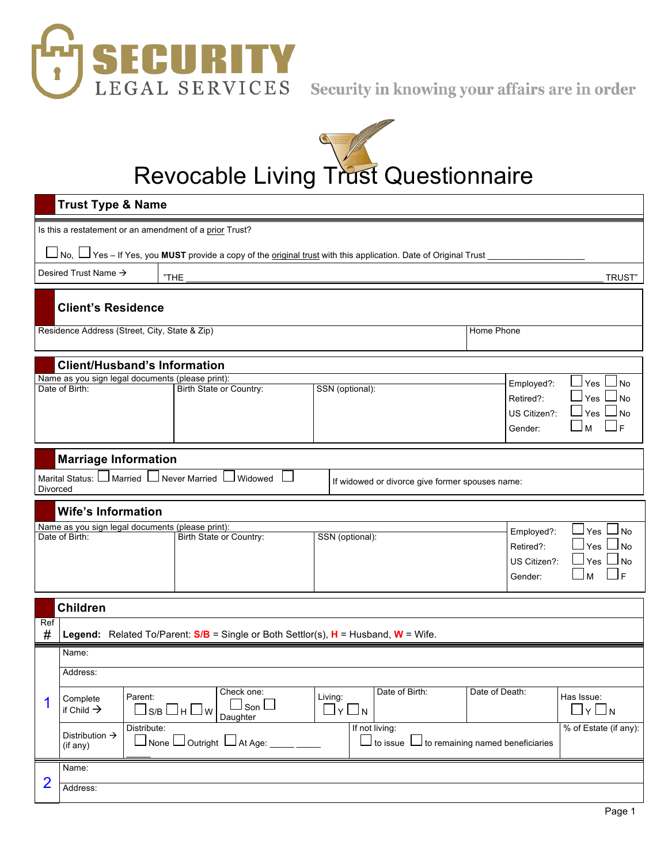



Revocable Living Trust Questionnaire

|                                                                                               | <b>Trust Type &amp; Name</b>                            |                                                                                                                                        |                 |                                                                         |                                                          |                                                    |                                                                   |
|-----------------------------------------------------------------------------------------------|---------------------------------------------------------|----------------------------------------------------------------------------------------------------------------------------------------|-----------------|-------------------------------------------------------------------------|----------------------------------------------------------|----------------------------------------------------|-------------------------------------------------------------------|
|                                                                                               | Is this a restatement or an amendment of a prior Trust? |                                                                                                                                        |                 |                                                                         |                                                          |                                                    |                                                                   |
|                                                                                               |                                                         | ره No, └┘Yes – If Yes, you <b>MUST</b> provide a copy of the <u>original trust</u> with this application. Date of Original Trust _____ |                 |                                                                         |                                                          |                                                    |                                                                   |
|                                                                                               | Desired Trust Name →                                    | "THE                                                                                                                                   |                 |                                                                         |                                                          |                                                    | <b>TRUST</b> "                                                    |
|                                                                                               | <b>Client's Residence</b>                               |                                                                                                                                        |                 |                                                                         |                                                          |                                                    |                                                                   |
|                                                                                               | Residence Address (Street, City, State & Zip)           |                                                                                                                                        |                 |                                                                         | Home Phone                                               |                                                    |                                                                   |
|                                                                                               | <b>Client/Husband's Information</b>                     |                                                                                                                                        |                 |                                                                         |                                                          |                                                    |                                                                   |
| Name as you sign legal documents (please print):<br>Date of Birth:                            |                                                         | Birth State or Country:                                                                                                                | SSN (optional): |                                                                         |                                                          | Employed?:<br>Retired?:<br>US Citizen?:<br>Gender: | Yes<br>No<br>Yes<br>No<br>Yes  <br><b>No</b><br>$\mathsf{F}$<br>M |
|                                                                                               | <b>Marriage Information</b>                             |                                                                                                                                        |                 |                                                                         |                                                          |                                                    |                                                                   |
| Divorced                                                                                      | Marital Status: U Married U Never Married U Widowed     |                                                                                                                                        |                 | If widowed or divorce give former spouses name:                         |                                                          |                                                    |                                                                   |
|                                                                                               | <b>Wife's Information</b>                               |                                                                                                                                        |                 |                                                                         |                                                          |                                                    |                                                                   |
| Name as you sign legal documents (please print):<br>Date of Birth:<br>Birth State or Country: |                                                         | SSN (optional):                                                                                                                        |                 | Employed?:<br>Retired?:<br>US Citizen?:<br>Gender:                      | Yes l<br>J No<br>Yes<br>No<br>Yes<br><b>No</b><br>E<br>М |                                                    |                                                                   |
|                                                                                               | <b>Children</b>                                         |                                                                                                                                        |                 |                                                                         |                                                          |                                                    |                                                                   |
| Ref<br>#                                                                                      |                                                         | Legend: Related To/Parent: $S/B$ = Single or Both Settlor(s), $H = H$ usband, W = Wife.                                                |                 |                                                                         |                                                          |                                                    |                                                                   |
|                                                                                               | Name:                                                   |                                                                                                                                        |                 |                                                                         |                                                          |                                                    |                                                                   |
|                                                                                               | Address:                                                |                                                                                                                                        |                 |                                                                         |                                                          |                                                    |                                                                   |
| 1                                                                                             | Parent:<br>Complete<br>if Child $\rightarrow$           | Check one:<br>」 son I<br> s/b ∐h ∐w<br>Daughter                                                                                        |                 | Date of Birth:<br>Living:<br>$\Box$ y $\Box$ n                          | Date of Death:                                           |                                                    | Has Issue:<br>$\Box$ y $\Box$ n                                   |
|                                                                                               | Distribute:<br>Distribution $\rightarrow$<br>(if any)   | $ $ None $  \_$ Outright $  \_$ At Age: $ $                                                                                            |                 | If not living:<br>$\mathbin{\rlap{-}1}$ to issue $\mathbin{\mathsf{L}}$ |                                                          | $\Box$ to remaining named beneficiaries            | % of Estate (if any):                                             |
|                                                                                               | Name:                                                   |                                                                                                                                        |                 |                                                                         |                                                          |                                                    |                                                                   |
| $\overline{2}$                                                                                | Address:                                                |                                                                                                                                        |                 |                                                                         |                                                          |                                                    |                                                                   |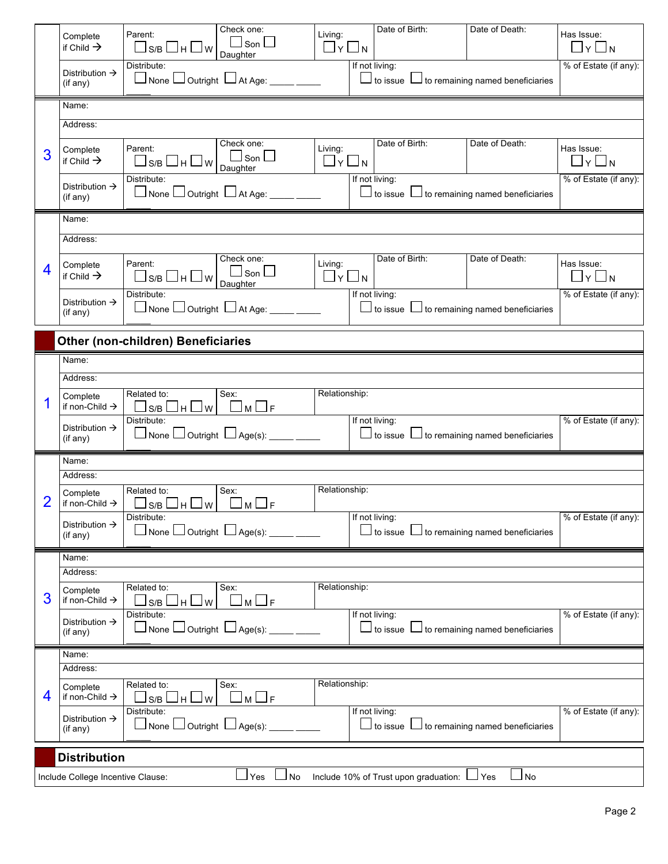|   | Complete<br>if Child $\rightarrow$     | Check one:<br>Parent:<br>$\sqcup$ Son $\sqcup$<br>ᆜѕ/в 凵н 凵 w<br>Daughter                       | Living:<br>∐y∐n              | Date of Birth:                                                              | Date of Death: | Has Issue:<br>_l y L<br>$\blacksquare$ N |  |
|---|----------------------------------------|-------------------------------------------------------------------------------------------------|------------------------------|-----------------------------------------------------------------------------|----------------|------------------------------------------|--|
|   | Distribution $\rightarrow$<br>(if any) | Distribute:<br>$\Box$ None $\Box$ Outright $\ \Box$ At Age: ____ ____                           |                              | If not living:<br>$\Box$ to issue $\Box$ to remaining named beneficiaries   |                | % of Estate (if any):                    |  |
|   | Name:                                  |                                                                                                 |                              |                                                                             |                |                                          |  |
|   | Address:                               |                                                                                                 |                              |                                                                             |                |                                          |  |
| 3 | Complete<br>if Child $\rightarrow$     | Check one:<br>Parent:<br>$\sqcup$ Son $\sqcup$<br>□s/b 凵 H 凵 w<br>Daughter                      | Living:<br>$\Box$ y $\Box$ n | Date of Birth:                                                              | Date of Death: | Has Issue:<br>$\square$ y $\square$ n    |  |
|   | Distribution $\rightarrow$<br>(if any) | Distribute:<br>$\Box$ None $\Box$ Outright $\Box$ At Age: $\Box$                                |                              | If not living:<br>$\Box$ to issue $\,\Box$ to remaining named beneficiaries |                | % of Estate (if any):                    |  |
|   | Name:                                  |                                                                                                 |                              |                                                                             |                |                                          |  |
|   | Address:                               |                                                                                                 |                              |                                                                             |                |                                          |  |
| 4 | Complete<br>if Child $\rightarrow$     | Check one:<br>Parent:<br>$\sf l$ Son $\Box$<br>ᆜѕ/в 凵н 凵 w<br>Daughter                          | Living:<br>$\Box$ y $\Box$ n | Date of Birth:                                                              | Date of Death: | Has Issue:<br>$\Box$ y $\Box$ n          |  |
|   | Distribution $\rightarrow$<br>(if any) | Distribute:<br>$\Box$ None $\Box$ Outright $\Box$ At Age: $\Box$                                |                              | If not living:<br>$\Box$ to issue $\,\Box$ to remaining named beneficiaries |                | % of Estate (if any):                    |  |
|   |                                        | <b>Other (non-children) Beneficiaries</b>                                                       |                              |                                                                             |                |                                          |  |
|   | Name:                                  |                                                                                                 |                              |                                                                             |                |                                          |  |
|   | Address:                               |                                                                                                 |                              |                                                                             |                |                                          |  |
|   | Complete<br>if non-Child $\rightarrow$ | Sex:<br>Related to:<br>$\Box$ M $\Box$ F<br>$\Box$ s/b $\Box$ h $\Box$ w $\vert$<br>Distribute: | Relationship:                | If not living:                                                              |                | % of Estate (if any):                    |  |
|   | Distribution $\rightarrow$<br>(if any) | $\Box$ None $\Box$ Outright $\Box$ Age(s): _____ _____                                          |                              | $\Box$ to issue $\Box$ to remaining named beneficiaries                     |                |                                          |  |
|   | Name:<br>Address:                      |                                                                                                 |                              |                                                                             |                |                                          |  |
| 2 | Complete<br>if non-Child $\rightarrow$ | Related to:<br>Sex:                                                                             | Relationship:                |                                                                             |                |                                          |  |
|   |                                        | ⊔s/b Шн∟w<br>$\Box$ F<br>l m l<br>Distribute:                                                   |                              | If not living:                                                              |                | % of Estate (if any):                    |  |
|   | Distribution $\rightarrow$<br>(if any) | $\sqcup$ None $\sqcup$ Outright $\sqcup$ Age(s): _                                              |                              | $\Box$ to issue $\,\Box$ to remaining named beneficiaries                   |                |                                          |  |
|   | Name:                                  |                                                                                                 |                              |                                                                             |                |                                          |  |
|   | Address:                               |                                                                                                 |                              |                                                                             |                |                                          |  |
| 3 | Complete<br>if non-Child $\rightarrow$ | Related to:<br>Sex:<br>$\sqcup$ s/b $\sqcup$<br>∣m∟F<br>ᆜ <sup></sup>                           | Relationship:                |                                                                             |                |                                          |  |
|   | Distribution $\rightarrow$             | Distribute:                                                                                     |                              | If not living:                                                              |                | % of Estate (if any):                    |  |
|   | (if any)                               | $\Box$ None $\Box$ Outright $\Box$ Age(s):                                                      |                              | $\Box$ to issue $\,\Box$ to remaining named beneficiaries                   |                |                                          |  |
|   | Name:                                  |                                                                                                 |                              |                                                                             |                |                                          |  |
|   | Address:                               |                                                                                                 |                              |                                                                             |                |                                          |  |
| 4 | Complete<br>if non-Child $\rightarrow$ | Related to:<br>Sex:<br>$\lfloor M \rfloor$<br>—l F<br>ls/B<br>H<br>J w<br>Distribute:           | Relationship:                | If not living:                                                              |                | % of Estate (if any):                    |  |
|   | Distribution $\rightarrow$<br>(if any) | $\Box$ None $\Box$ Outright $\ \Box$ Age(s): _                                                  |                              | $\perp$ to issue $\perp\perp$ to remaining named beneficiaries              |                |                                          |  |
|   | <b>Distribution</b>                    |                                                                                                 |                              |                                                                             |                |                                          |  |
|   | Include College Incentive Clause:      | Yes<br>No                                                                                       |                              | Include 10% of Trust upon graduation:                                       | l No<br>⊿ Yes  |                                          |  |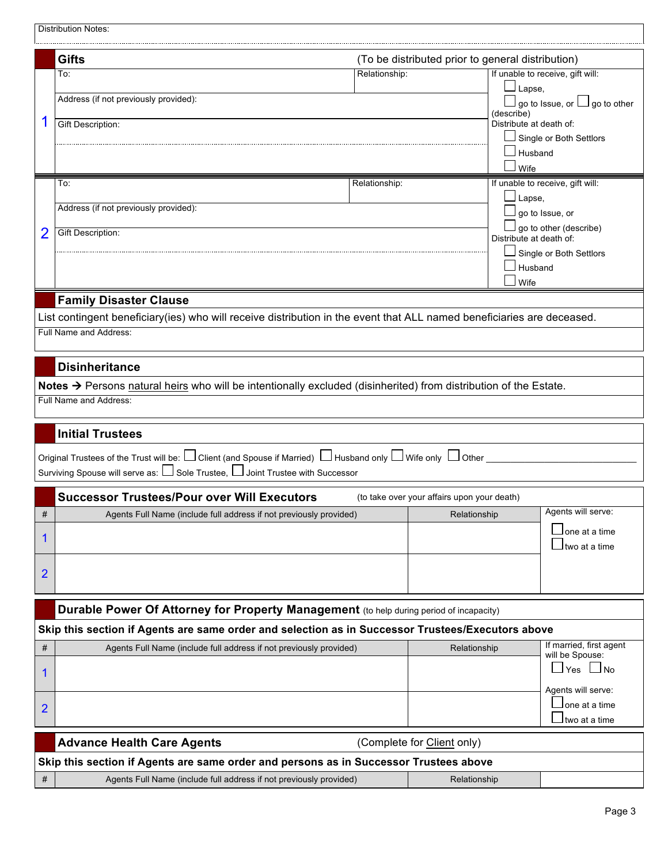|                                                                                                   | <b>Distribution Notes:</b>                                                                                                                                                                                        |                                             |                                                                                                                   |  |  |  |
|---------------------------------------------------------------------------------------------------|-------------------------------------------------------------------------------------------------------------------------------------------------------------------------------------------------------------------|---------------------------------------------|-------------------------------------------------------------------------------------------------------------------|--|--|--|
|                                                                                                   | Gifts<br>(To be distributed prior to general distribution)                                                                                                                                                        |                                             |                                                                                                                   |  |  |  |
|                                                                                                   | Relationship:<br>To:<br>Address (if not previously provided):                                                                                                                                                     | $\Box$ Lapse,<br>(describe)                 | If unable to receive, gift will:<br>$\mathsf{\mathsf{\bot}}$ go to Issue, or $\mathsf{\mathsf{\bot}}$ go to other |  |  |  |
| 1                                                                                                 | <b>Gift Description:</b>                                                                                                                                                                                          | Distribute at death of:<br>Husband          | Single or Both Settlors                                                                                           |  |  |  |
|                                                                                                   | Relationship:<br>To:                                                                                                                                                                                              | Wife                                        | If unable to receive, gift will:                                                                                  |  |  |  |
|                                                                                                   | Address (if not previously provided):                                                                                                                                                                             | ⊿ Lapse,                                    | go to Issue, or                                                                                                   |  |  |  |
| 2                                                                                                 | <b>Gift Description:</b>                                                                                                                                                                                          | Distribute at death of:                     | go to other (describe)                                                                                            |  |  |  |
|                                                                                                   |                                                                                                                                                                                                                   | Husband<br>Wife                             | Single or Both Settlors                                                                                           |  |  |  |
|                                                                                                   | <b>Family Disaster Clause</b>                                                                                                                                                                                     |                                             |                                                                                                                   |  |  |  |
|                                                                                                   | List contingent beneficiary(ies) who will receive distribution in the event that ALL named beneficiaries are deceased.                                                                                            |                                             |                                                                                                                   |  |  |  |
|                                                                                                   | Full Name and Address:                                                                                                                                                                                            |                                             |                                                                                                                   |  |  |  |
|                                                                                                   | <b>Disinheritance</b>                                                                                                                                                                                             |                                             |                                                                                                                   |  |  |  |
|                                                                                                   | Notes → Persons natural heirs who will be intentionally excluded (disinherited) from distribution of the Estate.<br>Full Name and Address:                                                                        |                                             |                                                                                                                   |  |  |  |
|                                                                                                   | <b>Initial Trustees</b>                                                                                                                                                                                           |                                             |                                                                                                                   |  |  |  |
|                                                                                                   | Original Trustees of the Trust will be: □ Client (and Spouse if Married) □ Husband only □ Wife only □ Other<br>Surviving Spouse will serve as: $\bigsqcup$ Sole Trustee, $\bigsqcup$ Joint Trustee with Successor |                                             |                                                                                                                   |  |  |  |
|                                                                                                   | <b>Successor Trustees/Pour over Will Executors</b>                                                                                                                                                                | (to take over your affairs upon your death) |                                                                                                                   |  |  |  |
| #                                                                                                 | Agents Full Name (include full address if not previously provided)                                                                                                                                                | Relationship                                | Agents will serve:                                                                                                |  |  |  |
| 1                                                                                                 |                                                                                                                                                                                                                   |                                             | one at a time<br>two at a time                                                                                    |  |  |  |
| $\overline{2}$                                                                                    |                                                                                                                                                                                                                   |                                             |                                                                                                                   |  |  |  |
| Durable Power Of Attorney for Property Management (to help during period of incapacity)           |                                                                                                                                                                                                                   |                                             |                                                                                                                   |  |  |  |
| Skip this section if Agents are same order and selection as in Successor Trustees/Executors above |                                                                                                                                                                                                                   |                                             |                                                                                                                   |  |  |  |
| #                                                                                                 | Agents Full Name (include full address if not previously provided)                                                                                                                                                | Relationship                                | If married, first agent<br>will be Spouse:                                                                        |  |  |  |
| 1                                                                                                 |                                                                                                                                                                                                                   |                                             | Yes<br>⊿ No                                                                                                       |  |  |  |
| $\overline{2}$                                                                                    |                                                                                                                                                                                                                   |                                             | Agents will serve:<br>one at a time<br>two at a time                                                              |  |  |  |
| <b>Advance Health Care Agents</b><br>(Complete for Client only)                                   |                                                                                                                                                                                                                   |                                             |                                                                                                                   |  |  |  |
|                                                                                                   | Skip this section if Agents are same order and persons as in Successor Trustees above                                                                                                                             |                                             |                                                                                                                   |  |  |  |
| #                                                                                                 | Agents Full Name (include full address if not previously provided)                                                                                                                                                | Relationship                                |                                                                                                                   |  |  |  |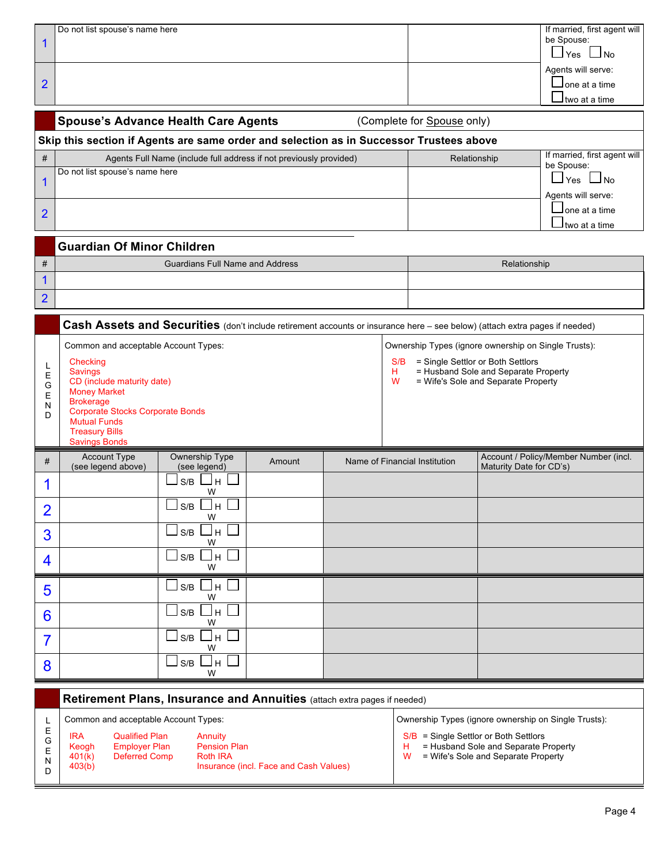| 1<br>$\overline{2}$            | Do not list spouse's name here<br><b>Spouse's Advance Health Care Agents</b><br>Skip this section if Agents are same order and selection as in Successor Trustees above                                                                                        |        | (Complete for Spouse only)    |                                                                                                                                                                          | If married, first agent will<br>be Spouse:<br>$\sqcup$ Yes $\sqcup$ No<br>Agents will serve:<br>Jone at a time<br>l two at a time |
|--------------------------------|----------------------------------------------------------------------------------------------------------------------------------------------------------------------------------------------------------------------------------------------------------------|--------|-------------------------------|--------------------------------------------------------------------------------------------------------------------------------------------------------------------------|-----------------------------------------------------------------------------------------------------------------------------------|
| #                              | Agents Full Name (include full address if not previously provided)                                                                                                                                                                                             |        |                               | Relationship                                                                                                                                                             | If married, first agent will                                                                                                      |
| $\mathbf{1}$<br>$\overline{2}$ | Do not list spouse's name here                                                                                                                                                                                                                                 |        |                               |                                                                                                                                                                          | be Spouse:<br>⊿Yes ∟No<br>Agents will serve:<br>lone at a time<br>two at a time                                                   |
|                                | <b>Guardian Of Minor Children</b>                                                                                                                                                                                                                              |        |                               |                                                                                                                                                                          |                                                                                                                                   |
| $\#$                           | <b>Guardians Full Name and Address</b>                                                                                                                                                                                                                         |        |                               | Relationship                                                                                                                                                             |                                                                                                                                   |
| $\mathbf{1}$                   |                                                                                                                                                                                                                                                                |        |                               |                                                                                                                                                                          |                                                                                                                                   |
| $\overline{2}$                 |                                                                                                                                                                                                                                                                |        |                               |                                                                                                                                                                          |                                                                                                                                   |
|                                | Cash Assets and Securities (don't include retirement accounts or insurance here - see below) (attach extra pages if needed)                                                                                                                                    |        |                               |                                                                                                                                                                          |                                                                                                                                   |
| L<br>Е<br>G<br>Е<br>N<br>D     | Common and acceptable Account Types:<br>Checking<br><b>Savings</b><br>CD (include maturity date)<br><b>Money Market</b><br><b>Brokerage</b><br><b>Corporate Stocks Corporate Bonds</b><br><b>Mutual Funds</b><br><b>Treasury Bills</b><br><b>Savings Bonds</b> |        | S/B<br>н.<br>W                | Ownership Types (ignore ownership on Single Trusts):<br>= Single Settlor or Both Settlors<br>= Husband Sole and Separate Property<br>= Wife's Sole and Separate Property |                                                                                                                                   |
| #                              | Ownership Type<br><b>Account Type</b><br>(see legend above)<br>(see legend)                                                                                                                                                                                    | Amount | Name of Financial Institution | Maturity Date for CD's)                                                                                                                                                  | Account / Policy/Member Number (incl.                                                                                             |
| 1                              | S/B<br>H<br>W                                                                                                                                                                                                                                                  |        |                               |                                                                                                                                                                          |                                                                                                                                   |
| $\overline{2}$                 | $\Box$ s/b $\Box$ h $\Box$<br>W                                                                                                                                                                                                                                |        |                               |                                                                                                                                                                          |                                                                                                                                   |
| 3                              | ∐ѕ⁄в □н [<br>W                                                                                                                                                                                                                                                 |        |                               |                                                                                                                                                                          |                                                                                                                                   |
| 4                              | $\sqsupset$ s/b $\Box$ h [<br>W                                                                                                                                                                                                                                |        |                               |                                                                                                                                                                          |                                                                                                                                   |
| 5                              | ∐ѕ⁄в □н [<br>W                                                                                                                                                                                                                                                 |        |                               |                                                                                                                                                                          |                                                                                                                                   |
| 6                              | $\Box$ s/b $\Box$ h                                                                                                                                                                                                                                            |        |                               |                                                                                                                                                                          |                                                                                                                                   |
|                                | W<br>⊔s/b ⊔н                                                                                                                                                                                                                                                   |        |                               |                                                                                                                                                                          |                                                                                                                                   |
| $\overline{7}$                 | W                                                                                                                                                                                                                                                              |        |                               |                                                                                                                                                                          |                                                                                                                                   |
| 8                              | ]s/b ∐н<br>W                                                                                                                                                                                                                                                   |        |                               |                                                                                                                                                                          |                                                                                                                                   |

**Retirement Plans, Insurance and Annuities** (attach extra pages if needed)

IRA Keogh 401(k)  $403(b)$ Qualified Plan Employer Plan Deferred Comp

L E G E N D

Annuity Pension Plan Roth IRA Insurance (incl. Face and Cash Values)

Common and acceptable Account Types: Common and acceptable Account Types: Common and acceptable Account Types:

 $S/B =$  Single Settlor or Both Settlors<br>H = Husband Sole and Separate F

- H = Husband Sole and Separate Property
- $W =$  Wife's Sole and Separate Property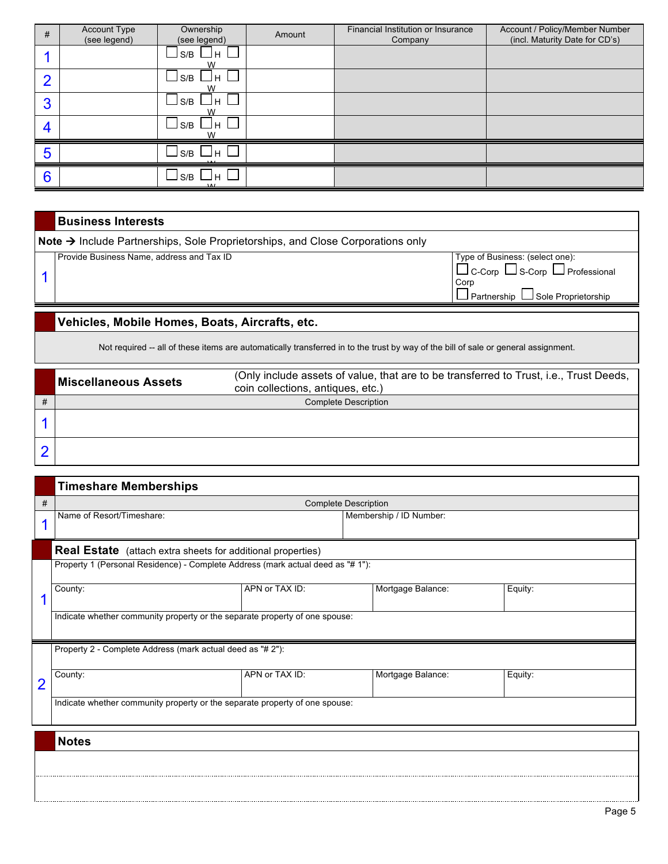| # | Account Type<br>(see legend) | Ownership<br>(see legend) | Amount | Financial Institution or Insurance<br>Company | Account / Policy/Member Number<br>(incl. Maturity Date for CD's) |
|---|------------------------------|---------------------------|--------|-----------------------------------------------|------------------------------------------------------------------|
|   |                              | Jн<br>S/B<br>W            |        |                                               |                                                                  |
| c |                              | S/B<br>Jн<br>w            |        |                                               |                                                                  |
| 3 |                              | S/B<br>Jн<br>w            |        |                                               |                                                                  |
| 4 |                              | S/B<br>Jн                 |        |                                               |                                                                  |
| 5 |                              | S/B<br>∟н                 |        |                                               |                                                                  |
| 6 |                              | S/B<br>∟н                 |        |                                               |                                                                  |

| <b>Business Interests</b>                                                                           |                                                                                    |  |  |  |  |
|-----------------------------------------------------------------------------------------------------|------------------------------------------------------------------------------------|--|--|--|--|
| $\mathsf{Note} \rightarrow$ Include Partnerships, Sole Proprietorships, and Close Corporations only |                                                                                    |  |  |  |  |
| Provide Business Name, address and Tax ID                                                           | Type of Business: (select one):<br>$\Box$ C-Corp $\Box$ S-Corp $\Box$ Professional |  |  |  |  |
|                                                                                                     | Corp                                                                               |  |  |  |  |

## **Vehicles, Mobile Homes, Boats, Aircrafts, etc.**

Not required -- all of these items are automatically transferred in to the trust by way of the bill of sale or general assignment.

| <b>Miscellaneous Assets</b> | (Only include assets of value, that are to be transferred to Trust, i.e., Trust Deeds,<br>coin collections, antiques, etc.) |
|-----------------------------|-----------------------------------------------------------------------------------------------------------------------------|
|                             | <b>Complete Description</b>                                                                                                 |
|                             |                                                                                                                             |
|                             |                                                                                                                             |

|                | <b>Timeshare Memberships</b>                                                    |                |                         |         |  |  |  |
|----------------|---------------------------------------------------------------------------------|----------------|-------------------------|---------|--|--|--|
| #              | <b>Complete Description</b>                                                     |                |                         |         |  |  |  |
|                | Name of Resort/Timeshare:                                                       |                | Membership / ID Number: |         |  |  |  |
|                | <b>Real Estate</b> (attach extra sheets for additional properties)              |                |                         |         |  |  |  |
|                | Property 1 (Personal Residence) - Complete Address (mark actual deed as "# 1"): |                |                         |         |  |  |  |
|                | County:                                                                         | APN or TAX ID: | Mortgage Balance:       | Equity: |  |  |  |
|                | Indicate whether community property or the separate property of one spouse:     |                |                         |         |  |  |  |
|                | Property 2 - Complete Address (mark actual deed as "# 2"):                      |                |                         |         |  |  |  |
| $\overline{2}$ | County:                                                                         | APN or TAX ID: | Mortgage Balance:       | Equity: |  |  |  |
|                | Indicate whether community property or the separate property of one spouse:     |                |                         |         |  |  |  |
|                | <b>Notes</b>                                                                    |                |                         |         |  |  |  |
|                |                                                                                 |                |                         |         |  |  |  |
|                |                                                                                 |                |                         |         |  |  |  |

Partnership LJ Sole Proprietorship